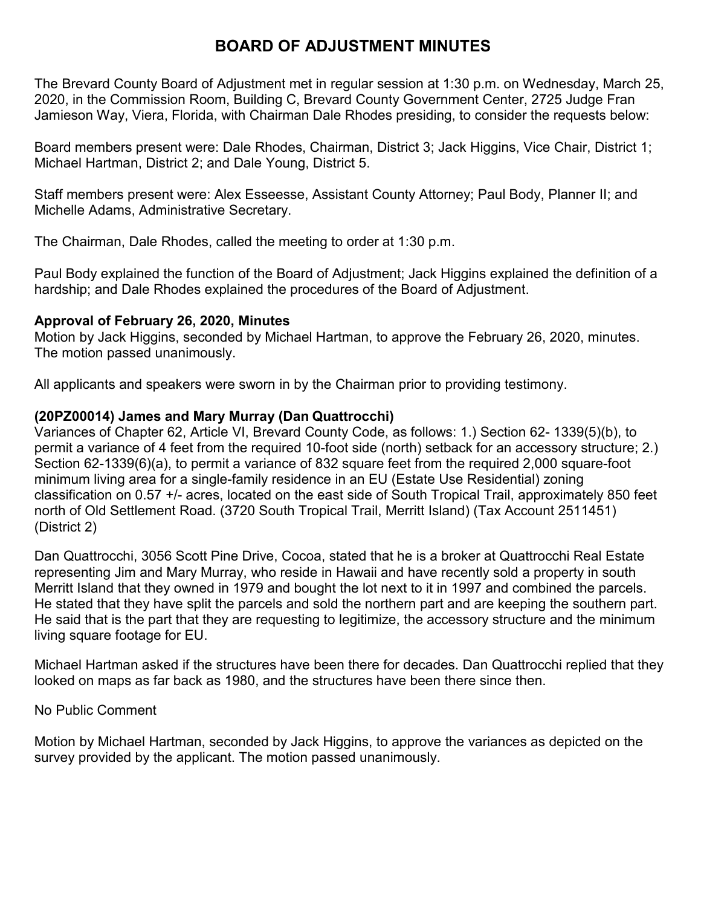# **BOARD OF ADJUSTMENT MINUTES**

The Brevard County Board of Adjustment met in regular session at 1:30 p.m. on Wednesday, March 25, 2020, in the Commission Room, Building C, Brevard County Government Center, 2725 Judge Fran Jamieson Way, Viera, Florida, with Chairman Dale Rhodes presiding, to consider the requests below:

Board members present were: Dale Rhodes, Chairman, District 3; Jack Higgins, Vice Chair, District 1; Michael Hartman, District 2; and Dale Young, District 5.

Staff members present were: Alex Esseesse, Assistant County Attorney; Paul Body, Planner II; and Michelle Adams, Administrative Secretary.

The Chairman, Dale Rhodes, called the meeting to order at 1:30 p.m.

Paul Body explained the function of the Board of Adjustment; Jack Higgins explained the definition of a hardship; and Dale Rhodes explained the procedures of the Board of Adjustment.

# **Approval of February 26, 2020, Minutes**

Motion by Jack Higgins, seconded by Michael Hartman, to approve the February 26, 2020, minutes. The motion passed unanimously.

All applicants and speakers were sworn in by the Chairman prior to providing testimony.

# **(20PZ00014) James and Mary Murray (Dan Quattrocchi)**

Variances of Chapter 62, Article VI, Brevard County Code, as follows: 1.) Section 62- 1339(5)(b), to permit a variance of 4 feet from the required 10-foot side (north) setback for an accessory structure; 2.) Section 62-1339(6)(a), to permit a variance of 832 square feet from the required 2,000 square-foot minimum living area for a single-family residence in an EU (Estate Use Residential) zoning classification on 0.57 +/- acres, located on the east side of South Tropical Trail, approximately 850 feet north of Old Settlement Road. (3720 South Tropical Trail, Merritt Island) (Tax Account 2511451) (District 2)

Dan Quattrocchi, 3056 Scott Pine Drive, Cocoa, stated that he is a broker at Quattrocchi Real Estate representing Jim and Mary Murray, who reside in Hawaii and have recently sold a property in south Merritt Island that they owned in 1979 and bought the lot next to it in 1997 and combined the parcels. He stated that they have split the parcels and sold the northern part and are keeping the southern part. He said that is the part that they are requesting to legitimize, the accessory structure and the minimum living square footage for EU.

Michael Hartman asked if the structures have been there for decades. Dan Quattrocchi replied that they looked on maps as far back as 1980, and the structures have been there since then.

#### No Public Comment

Motion by Michael Hartman, seconded by Jack Higgins, to approve the variances as depicted on the survey provided by the applicant. The motion passed unanimously.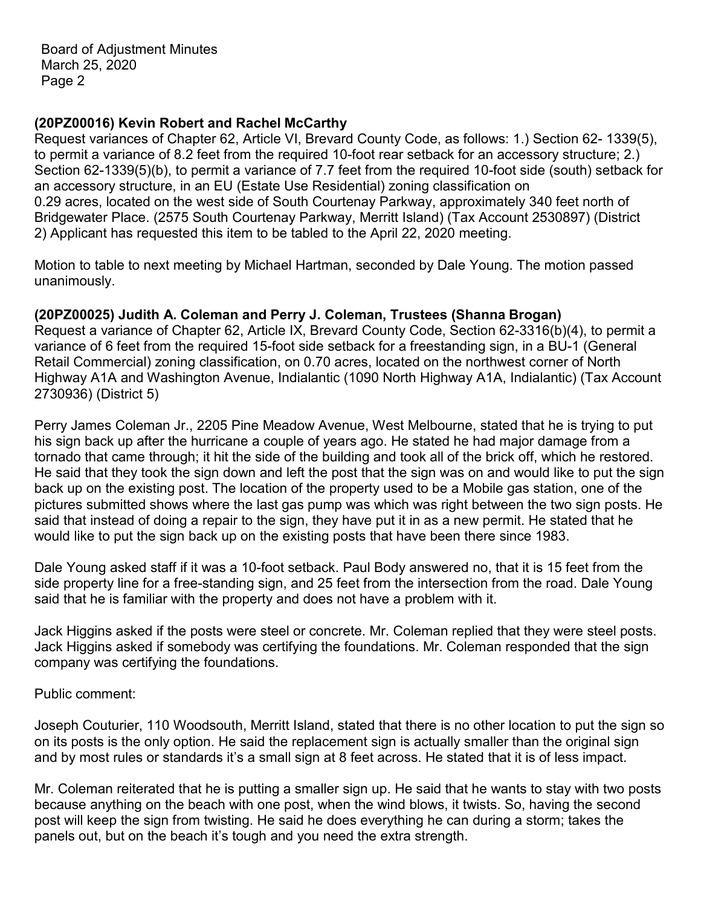Board of Adjustment Minutes March 25, 2020 Page 2

## **(20PZ00016) Kevin Robert and Rachel McCarthy**

Request variances of Chapter 62, Article VI, Brevard County Code, as follows: 1.) Section 62- 1339(5), to permit a variance of 8.2 feet from the required 10-foot rear setback for an accessory structure; 2.) Section 62-1339(5)(b), to permit a variance of 7.7 feet from the required 10-foot side (south) setback for an accessory structure, in an EU (Estate Use Residential) zoning classification on 0.29 acres, located on the west side of South Courtenay Parkway, approximately 340 feet north of Bridgewater Place. (2575 South Courtenay Parkway, Merritt Island) (Tax Account 2530897) (District 2) Applicant has requested this item to be tabled to the April 22, 2020 meeting.

Motion to table to next meeting by Michael Hartman, seconded by Dale Young. The motion passed unanimously.

## **(20PZ00025) Judith A. Coleman and Perry J. Coleman, Trustees (Shanna Brogan)**

Request a variance of Chapter 62, Article IX, Brevard County Code, Section 62-3316(b)(4), to permit a variance of 6 feet from the required 15-foot side setback for a freestanding sign, in a BU-1 (General Retail Commercial) zoning classification, on 0.70 acres, located on the northwest corner of North Highway A1A and Washington Avenue, Indialantic (1090 North Highway A1A, Indialantic) (Tax Account 2730936) (District 5)

Perry James Coleman Jr., 2205 Pine Meadow Avenue, West Melbourne, stated that he is trying to put his sign back up after the hurricane a couple of years ago. He stated he had major damage from a tornado that came through; it hit the side of the building and took all of the brick off, which he restored. He said that they took the sign down and left the post that the sign was on and would like to put the sign back up on the existing post. The location of the property used to be a Mobile gas station, one of the pictures submitted shows where the last gas pump was which was right between the two sign posts. He said that instead of doing a repair to the sign, they have put it in as a new permit. He stated that he would like to put the sign back up on the existing posts that have been there since 1983.

Dale Young asked staff if it was a 10-foot setback. Paul Body answered no, that it is 15 feet from the side property line for a free-standing sign, and 25 feet from the intersection from the road. Dale Young said that he is familiar with the property and does not have a problem with it.

Jack Higgins asked if the posts were steel or concrete. Mr. Coleman replied that they were steel posts. Jack Higgins asked if somebody was certifying the foundations. Mr. Coleman responded that the sign company was certifying the foundations.

Public comment:

Joseph Couturier, 110 Woodsouth, Merritt Island, stated that there is no other location to put the sign so on its posts is the only option. He said the replacement sign is actually smaller than the original sign and by most rules or standards it's a small sign at 8 feet across. He stated that it is of less impact.

Mr. Coleman reiterated that he is putting a smaller sign up. He said that he wants to stay with two posts because anything on the beach with one post, when the wind blows, it twists. So, having the second post will keep the sign from twisting. He said he does everything he can during a storm; takes the panels out, but on the beach it's tough and you need the extra strength.